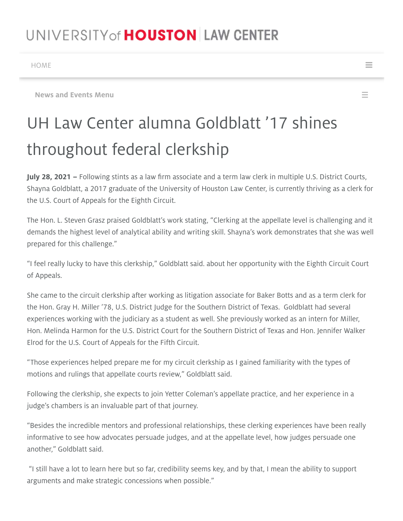## UNIVERSITY of **HOUSTON** LAW CENTER

[HOME](https://www.law.uh.edu/)  $\blacksquare$ 

[News and Events Menu](#page-0-0)  $\equiv$ 

## UH Law Center alumna Goldblatt '17 shines throughout federal clerkship

July 28, 2021 – Following stints as a law firm associate and a term law clerk in multiple U.S. District Courts, Shayna Goldblatt, a 2017 graduate of the University of Houston Law Center, is currently thriving as a clerk for the U.S. Court of Appeals for the Eighth Circuit.

The Hon. L. Steven Grasz praised Goldblatt's work stating, "Clerking at the appellate level is challenging and it demands the highest level of analytical ability and writing skill. Shayna's work demonstrates that she was well prepared for this challenge."

"I feel really lucky to have this clerkship," Goldblatt said. about her opportunity with the Eighth Circuit Court of Appeals.

She came to the circuit clerkship after working as litigation associate for Baker Botts and as a term clerk for the Hon. Gray H. Miller '78, U.S. District Judge for the Southern District of Texas. Goldblatt had several experiences working with the judiciary as a student as well. She previously worked as an intern for Miller, Hon. Melinda Harmon for the U.S. District Court for the Southern District of Texas and Hon. Jennifer Walker Elrod for the U.S. Court of Appeals for the Fifth Circuit.

"Those experiences helped prepare me for my circuit clerkship as I gained familiarity with the types of motions and rulings that appellate courts review," Goldblatt said.

Following the clerkship, she expects to join Yetter Coleman's appellate practice, and her experience in a judge's chambers is an invaluable part of that journey.

"Besides the incredible mentors and professional relationships, these clerking experiences have been really informative to see how advocates persuade judges, and at the appellate level, how judges persuade one another," Goldblatt said.

<span id="page-0-0"></span> "I still have a lot to learn here but so far, credibility seems key, and by that, I mean the ability to support arguments and make strategic concessions when possible."